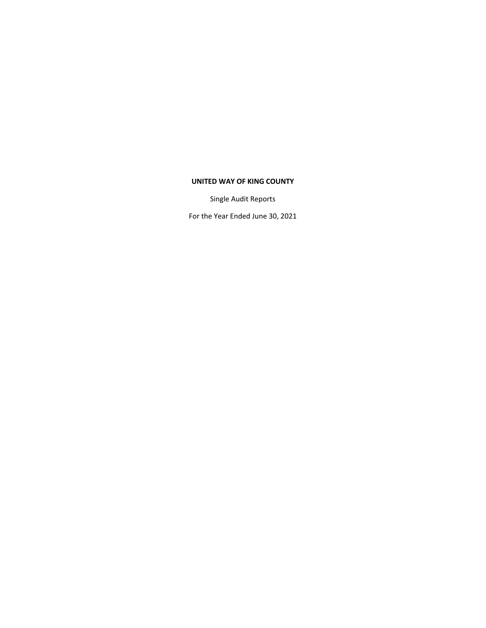Single Audit Reports

For the Year Ended June 30, 2021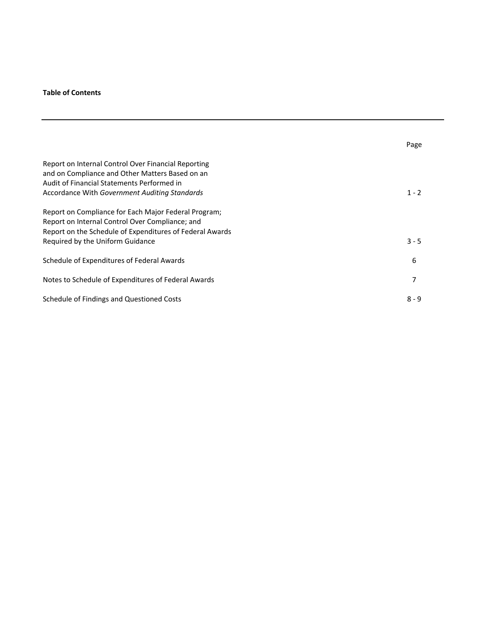## **Table of Contents**

|                                                                                                                                                                                                         | Page    |
|---------------------------------------------------------------------------------------------------------------------------------------------------------------------------------------------------------|---------|
| Report on Internal Control Over Financial Reporting<br>and on Compliance and Other Matters Based on an<br>Audit of Financial Statements Performed in<br>Accordance With Government Auditing Standards   | $1 - 2$ |
| Report on Compliance for Each Major Federal Program;<br>Report on Internal Control Over Compliance; and<br>Report on the Schedule of Expenditures of Federal Awards<br>Required by the Uniform Guidance | $3 - 5$ |
| Schedule of Expenditures of Federal Awards                                                                                                                                                              | 6       |
| Notes to Schedule of Expenditures of Federal Awards                                                                                                                                                     | 7       |
| Schedule of Findings and Questioned Costs                                                                                                                                                               | $8 - 9$ |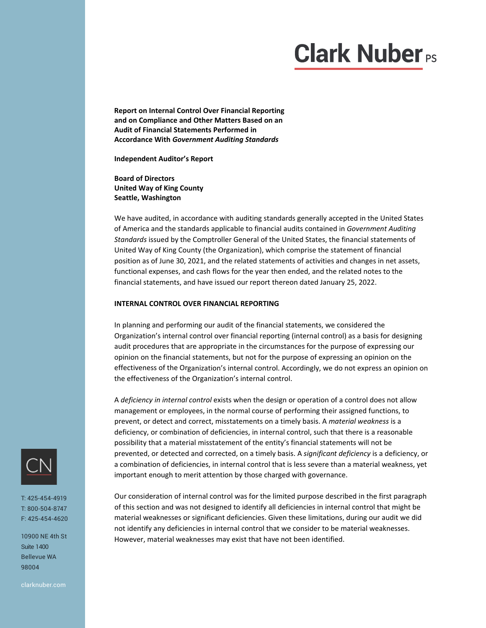## **Clark Nuber**<sub>Ps</sub>

**Report on Internal Control Over Financial Reporting and on Compliance and Other Matters Based on an Audit of Financial Statements Performed in Accordance With** *Government Auditing Standards*

**Independent Auditor's Report**

**Board of Directors United Way of King County Seattle, Washington**

We have audited, in accordance with auditing standards generally accepted in the United States of America and the standards applicable to financial audits contained in *Government Auditing Standards* issued by the Comptroller General of the United States, the financial statements of United Way of King County (the Organization), which comprise the statement of financial position as of June 30, 2021, and the related statements of activities and changes in net assets, functional expenses, and cash flows for the year then ended, and the related notes to the financial statements, and have issued our report thereon dated January 25, 2022.

### **INTERNAL CONTROL OVER FINANCIAL REPORTING**

In planning and performing our audit of the financial statements, we considered the Organization's internal control over financial reporting (internal control) as a basis for designing audit procedures that are appropriate in the circumstances for the purpose of expressing our opinion on the financial statements, but not for the purpose of expressing an opinion on the effectiveness of the Organization's internal control. Accordingly, we do not express an opinion on the effectiveness of the Organization's internal control.

A *deficiency in internal control* exists when the design or operation of a control does not allow management or employees, in the normal course of performing their assigned functions, to prevent, or detect and correct, misstatements on a timely basis. A *material weakness* is a deficiency, or combination of deficiencies, in internal control, such that there is a reasonable possibility that a material misstatement of the entity's financial statements will not be prevented, or detected and corrected, on a timely basis. A *significant deficiency* is a deficiency, or a combination of deficiencies, in internal control that is less severe than a material weakness, yet important enough to merit attention by those charged with governance.

Our consideration of internal control was for the limited purpose described in the first paragraph of this section and was not designed to identify all deficiencies in internal control that might be material weaknesses or significant deficiencies. Given these limitations, during our audit we did not identify any deficiencies in internal control that we consider to be material weaknesses. However, material weaknesses may exist that have not been identified.



T: 425-454-4919 T: 800-504-8747 F: 425-454-4620

10900 NE 4th St Suite 1400 Bellevue WA 98004

clarknuber.com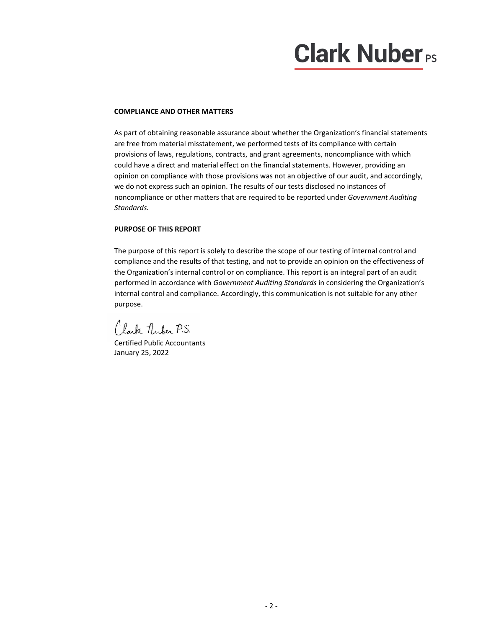### **COMPLIANCE AND OTHER MATTERS**

As part of obtaining reasonable assurance about whether the Organization's financial statements are free from material misstatement, we performed tests of its compliance with certain provisions of laws, regulations, contracts, and grant agreements, noncompliance with which could have a direct and material effect on the financial statements. However, providing an opinion on compliance with those provisions was not an objective of our audit, and accordingly, we do not express such an opinion. The results of our tests disclosed no instances of noncompliance or other matters that are required to be reported under *Government Auditing Standards.*

## **PURPOSE OF THIS REPORT**

The purpose of this report is solely to describe the scope of our testing of internal control and compliance and the results of that testing, and not to provide an opinion on the effectiveness of the Organization's internal control or on compliance. This report is an integral part of an audit performed in accordance with *Government Auditing Standards* in considering the Organization's internal control and compliance. Accordingly, this communication is not suitable for any other purpose.

Clark Nuber P.S.

Certified Public Accountants January 25, 2022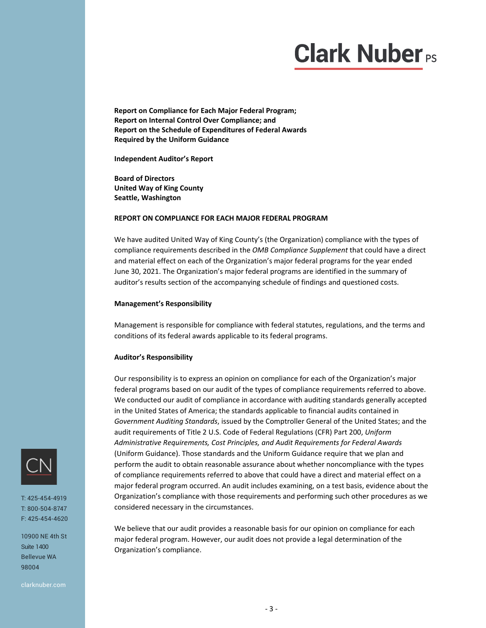## **Clark Nuber**<sub>Ps</sub>

**Report on Compliance for Each Major Federal Program; Report on Internal Control Over Compliance; and Report on the Schedule of Expenditures of Federal Awards Required by the Uniform Guidance**

**Independent Auditor's Report**

**Board of Directors United Way of King County Seattle, Washington**

## **REPORT ON COMPLIANCE FOR EACH MAJOR FEDERAL PROGRAM**

We have audited United Way of King County's (the Organization) compliance with the types of compliance requirements described in the *OMB Compliance Supplement* that could have a direct and material effect on each of the Organization's major federal programs for the year ended June 30, 2021. The Organization's major federal programs are identified in the summary of auditor's results section of the accompanying schedule of findings and questioned costs.

### **Management's Responsibility**

Management is responsible for compliance with federal statutes, regulations, and the terms and conditions of its federal awards applicable to its federal programs.

## **Auditor's Responsibility**

Our responsibility is to express an opinion on compliance for each of the Organization's major federal programs based on our audit of the types of compliance requirements referred to above. We conducted our audit of compliance in accordance with auditing standards generally accepted in the United States of America; the standards applicable to financial audits contained in *Government Auditing Standards*, issued by the Comptroller General of the United States; and the audit requirements of Title 2 U.S. Code of Federal Regulations (CFR) Part 200, *Uniform Administrative Requirements, Cost Principles, and Audit Requirements for Federal Awards* (Uniform Guidance). Those standards and the Uniform Guidance require that we plan and perform the audit to obtain reasonable assurance about whether noncompliance with the types of compliance requirements referred to above that could have a direct and material effect on a major federal program occurred. An audit includes examining, on a test basis, evidence about the Organization's compliance with those requirements and performing such other procedures as we considered necessary in the circumstances.

We believe that our audit provides a reasonable basis for our opinion on compliance for each major federal program. However, our audit does not provide a legal determination of the Organization's compliance.



T: 425-454-4919 T: 800-504-8747 F: 425-454-4620

10900 NE 4th St Suite 1400 Bellevue WA 98004

clarknuber.com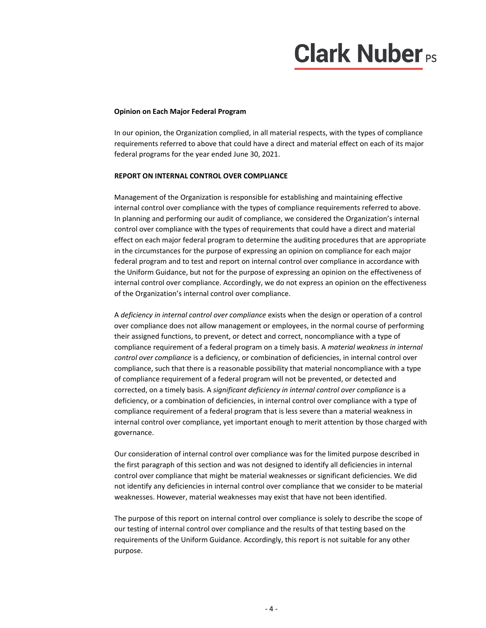# **Clark Nuber**<sub>PS</sub>

### **Opinion on Each Major Federal Program**

In our opinion, the Organization complied, in all material respects, with the types of compliance requirements referred to above that could have a direct and material effect on each of its major federal programs for the year ended June 30, 2021.

## **REPORT ON INTERNAL CONTROL OVER COMPLIANCE**

Management of the Organization is responsible for establishing and maintaining effective internal control over compliance with the types of compliance requirements referred to above. In planning and performing our audit of compliance, we considered the Organization's internal control over compliance with the types of requirements that could have a direct and material effect on each major federal program to determine the auditing procedures that are appropriate in the circumstances for the purpose of expressing an opinion on compliance for each major federal program and to test and report on internal control over compliance in accordance with the Uniform Guidance, but not for the purpose of expressing an opinion on the effectiveness of internal control over compliance. Accordingly, we do not express an opinion on the effectiveness of the Organization's internal control over compliance.

A *deficiency in internal control over compliance* exists when the design or operation of a control over compliance does not allow management or employees, in the normal course of performing their assigned functions, to prevent, or detect and correct, noncompliance with a type of compliance requirement of a federal program on a timely basis. A *material weakness in internal control over compliance* is a deficiency, or combination of deficiencies, in internal control over compliance, such that there is a reasonable possibility that material noncompliance with a type of compliance requirement of a federal program will not be prevented, or detected and corrected, on a timely basis. A *significant deficiency in internal control over compliance* is a deficiency, or a combination of deficiencies, in internal control over compliance with a type of compliance requirement of a federal program that is less severe than a material weakness in internal control over compliance, yet important enough to merit attention by those charged with governance.

Our consideration of internal control over compliance was for the limited purpose described in the first paragraph of this section and was not designed to identify all deficiencies in internal control over compliance that might be material weaknesses or significant deficiencies. We did not identify any deficiencies in internal control over compliance that we consider to be material weaknesses. However, material weaknesses may exist that have not been identified.

The purpose of this report on internal control over compliance is solely to describe the scope of our testing of internal control over compliance and the results of that testing based on the requirements of the Uniform Guidance. Accordingly, this report is not suitable for any other purpose.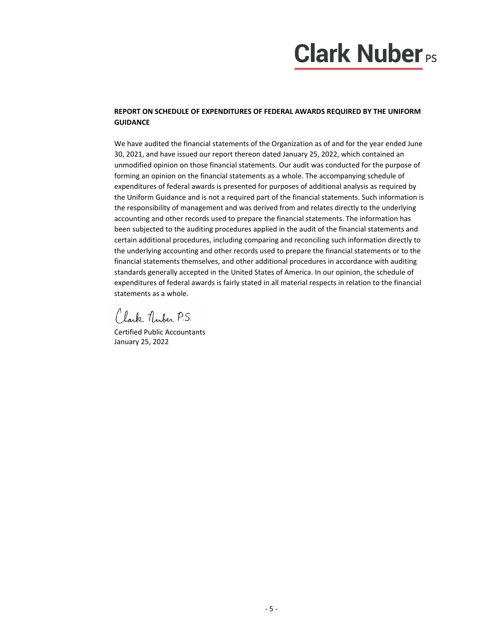## **Clark Nuber**<sub>PS</sub>

## **REPORT ON SCHEDULE OF EXPENDITURES OF FEDERAL AWARDS REQUIRED BY THE UNIFORM GUIDANCE**

We have audited the financial statements of the Organization as of and for the year ended June 30, 2021, and have issued our report thereon dated January 25, 2022, which contained an unmodified opinion on those financial statements. Our audit was conducted for the purpose of forming an opinion on the financial statements as a whole. The accompanying schedule of expenditures of federal awards is presented for purposes of additional analysis as required by the Uniform Guidance and is not a required part of the financial statements. Such information is the responsibility of management and was derived from and relates directly to the underlying accounting and other records used to prepare the financial statements. The information has been subjected to the auditing procedures applied in the audit of the financial statements and certain additional procedures, including comparing and reconciling such information directly to the underlying accounting and other records used to prepare the financial statements or to the financial statements themselves, and other additional procedures in accordance with auditing standards generally accepted in the United States of America. In our opinion, the schedule of expenditures of federal awards is fairly stated in all material respects in relation to the financial statements as a whole.

Clark Nuber P.S.

Certified Public Accountants January 25, 2022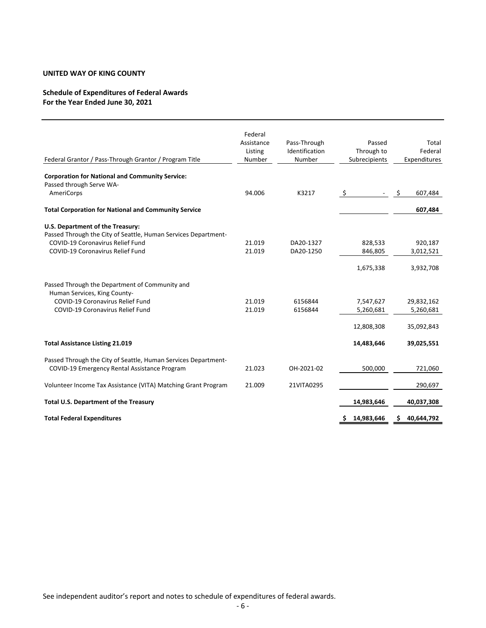## **Schedule of Expenditures of Federal Awards For the Year Ended June 30, 2021**

| Federal Grantor / Pass-Through Grantor / Program Title                                                    | Federal<br>Assistance<br>Listing<br>Number | Pass-Through<br>Identification<br>Number | Passed<br>Through to<br>Subrecipients | Total<br>Federal<br>Expenditures |
|-----------------------------------------------------------------------------------------------------------|--------------------------------------------|------------------------------------------|---------------------------------------|----------------------------------|
| <b>Corporation for National and Community Service:</b>                                                    |                                            |                                          |                                       |                                  |
| Passed through Serve WA-<br>AmeriCorps                                                                    | 94.006                                     | K3217                                    | \$                                    | 607,484<br>\$                    |
| <b>Total Corporation for National and Community Service</b>                                               |                                            |                                          |                                       | 607,484                          |
| U.S. Department of the Treasury:                                                                          |                                            |                                          |                                       |                                  |
| Passed Through the City of Seattle, Human Services Department-<br><b>COVID-19 Coronavirus Relief Fund</b> | 21.019                                     | DA20-1327                                |                                       |                                  |
| COVID-19 Coronavirus Relief Fund                                                                          | 21.019                                     | DA20-1250                                | 828,533<br>846,805                    | 920,187<br>3,012,521             |
|                                                                                                           |                                            |                                          |                                       |                                  |
|                                                                                                           |                                            |                                          | 1,675,338                             | 3,932,708                        |
| Passed Through the Department of Community and<br>Human Services, King County-                            |                                            |                                          |                                       |                                  |
| <b>COVID-19 Coronavirus Relief Fund</b>                                                                   | 21.019                                     | 6156844                                  | 7,547,627                             | 29,832,162                       |
| COVID-19 Coronavirus Relief Fund                                                                          | 21.019                                     | 6156844                                  | 5,260,681                             | 5,260,681                        |
|                                                                                                           |                                            |                                          | 12,808,308                            | 35,092,843                       |
| <b>Total Assistance Listing 21.019</b>                                                                    |                                            |                                          | 14,483,646                            | 39,025,551                       |
| Passed Through the City of Seattle, Human Services Department-                                            |                                            |                                          |                                       |                                  |
| COVID-19 Emergency Rental Assistance Program                                                              | 21.023                                     | OH-2021-02                               | 500,000                               | 721,060                          |
| Volunteer Income Tax Assistance (VITA) Matching Grant Program                                             | 21.009                                     | 21VITA0295                               |                                       | 290,697                          |
| <b>Total U.S. Department of the Treasury</b>                                                              |                                            |                                          | 14,983,646                            | 40,037,308                       |
| <b>Total Federal Expenditures</b>                                                                         |                                            |                                          | S<br>14,983,646                       | 40,644,792<br>Ś                  |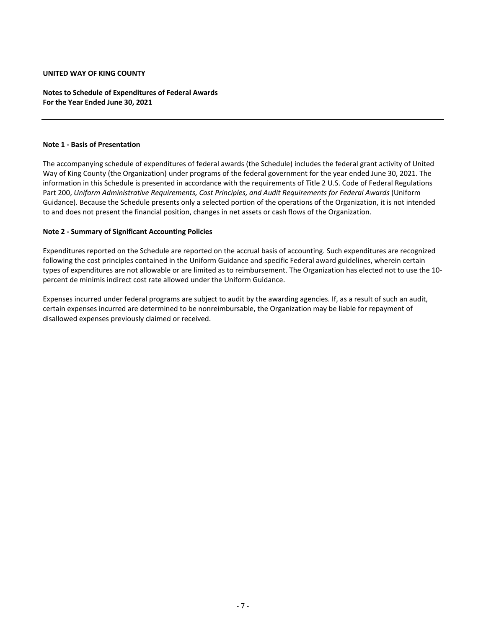## **Notes to Schedule of Expenditures of Federal Awards For the Year Ended June 30, 2021**

#### **Note 1 ‐ Basis of Presentation**

The accompanying schedule of expenditures of federal awards (the Schedule) includes the federal grant activity of United Way of King County (the Organization) under programs of the federal government for the year ended June 30, 2021. The information in this Schedule is presented in accordance with the requirements of Title 2 U.S. Code of Federal Regulations Part 200, *Uniform Administrative Requirements, Cost Principles, and Audit Requirements for Federal Awards* (Uniform Guidance)*.* Because the Schedule presents only a selected portion of the operations of the Organization, it is not intended to and does not present the financial position, changes in net assets or cash flows of the Organization.

### **Note 2 ‐ Summary of Significant Accounting Policies**

Expenditures reported on the Schedule are reported on the accrual basis of accounting. Such expenditures are recognized following the cost principles contained in the Uniform Guidance and specific Federal award guidelines, wherein certain types of expenditures are not allowable or are limited as to reimbursement. The Organization has elected not to use the 10‐ percent de minimis indirect cost rate allowed under the Uniform Guidance.

Expenses incurred under federal programs are subject to audit by the awarding agencies. If, as a result of such an audit, certain expenses incurred are determined to be nonreimbursable, the Organization may be liable for repayment of disallowed expenses previously claimed or received.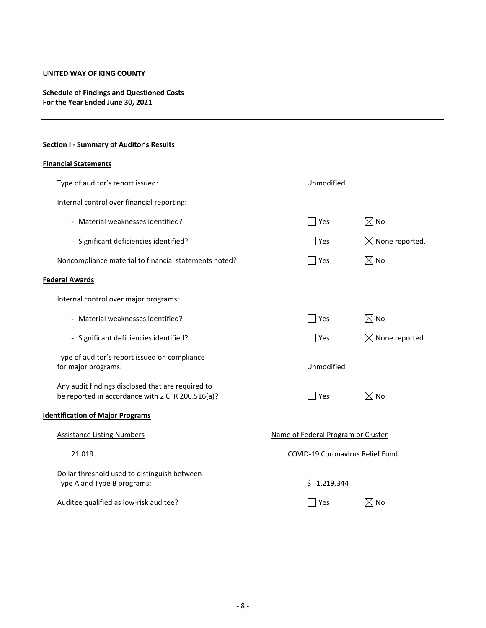## **Schedule of Findings and Questioned Costs For the Year Ended June 30, 2021**

## **Section I ‐ Summary of Auditor's Results**

## **Financial Statements**

| Type of auditor's report issued:                                                                      | Unmodified                         |                            |  |
|-------------------------------------------------------------------------------------------------------|------------------------------------|----------------------------|--|
| Internal control over financial reporting:                                                            |                                    |                            |  |
| - Material weaknesses identified?                                                                     | $\vert$ Yes                        | $\boxtimes$ No             |  |
| - Significant deficiencies identified?                                                                | Yes                                | $\boxtimes$ None reported. |  |
| Noncompliance material to financial statements noted?                                                 | $\Box$ Yes                         | $\boxtimes$ No             |  |
| <b>Federal Awards</b>                                                                                 |                                    |                            |  |
| Internal control over major programs:                                                                 |                                    |                            |  |
| - Material weaknesses identified?                                                                     | $\bigcap$ Yes                      | $\boxtimes$ No             |  |
| - Significant deficiencies identified?                                                                | $\bigcap$ Yes                      | $\boxtimes$ None reported. |  |
| Type of auditor's report issued on compliance<br>for major programs:                                  | Unmodified                         |                            |  |
| Any audit findings disclosed that are required to<br>be reported in accordance with 2 CFR 200.516(a)? | Yes                                | $\boxtimes$ No             |  |
| <b>Identification of Major Programs</b>                                                               |                                    |                            |  |
| <b>Assistance Listing Numbers</b>                                                                     | Name of Federal Program or Cluster |                            |  |
| 21.019                                                                                                | COVID-19 Coronavirus Relief Fund   |                            |  |
| Dollar threshold used to distinguish between<br>Type A and Type B programs:                           | \$1,219,344                        |                            |  |
| Auditee qualified as low-risk auditee?                                                                | Yes                                | $\boxtimes$ No             |  |